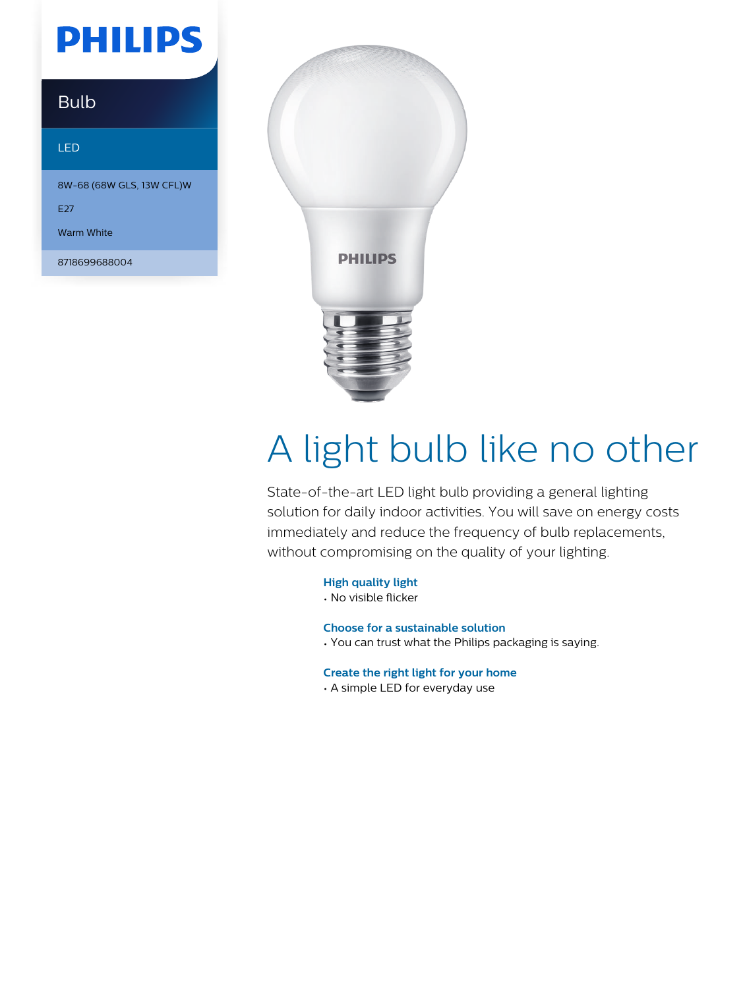## **PHILIPS**

### Bulb

#### LED

8W-68 (68W GLS, 13W CFL)W

E<sub>27</sub>

Warm White

8718699688004



# A light bulb like no other

State-of-the-art LED light bulb providing a general lighting solution for daily indoor activities. You will save on energy costs immediately and reduce the frequency of bulb replacements, without compromising on the quality of your lighting.

**High quality light**

• No visible flicker

**Choose for a sustainable solution**

• You can trust what the Philips packaging is saying.

**Create the right light for your home**

• A simple LED for everyday use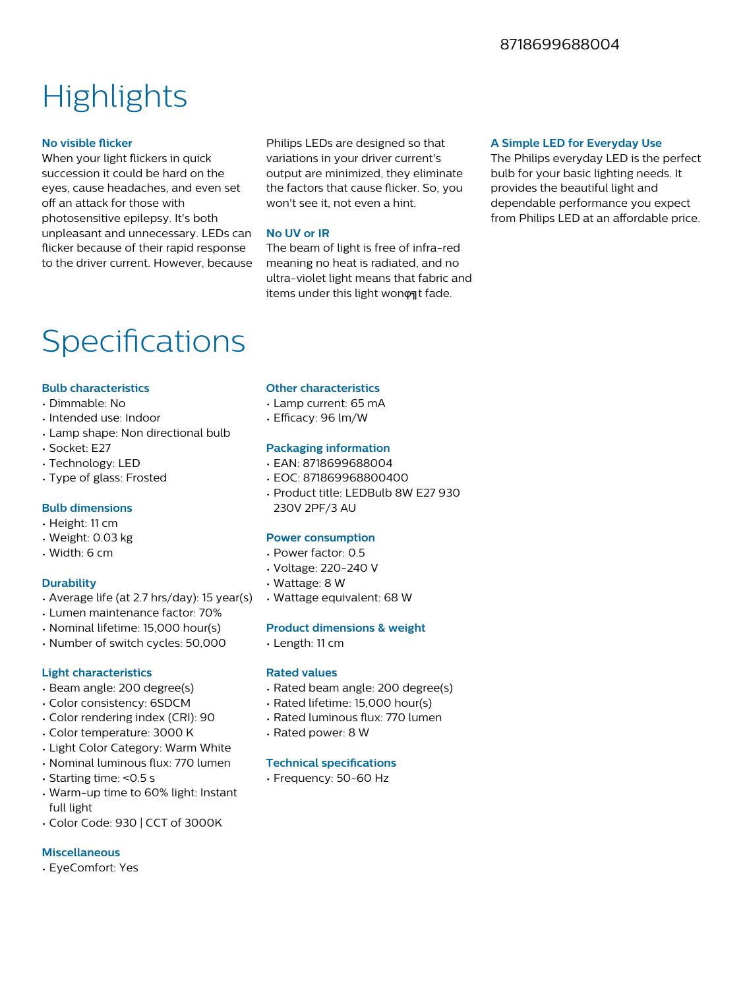### **Highlights**

#### **No visible flicker**

When your light flickers in quick succession it could be hard on the eyes, cause headaches, and even set off an attack for those with photosensitive epilepsy. It's both unpleasant and unnecessary. LEDs can flicker because of their rapid response to the driver current. However, because

Philips LEDs are designed so that variations in your driver current's output are minimized, they eliminate the factors that cause flicker. So, you won't see it, not even a hint.

#### **No UV or IR**

The beam of light is free of infra-red meaning no heat is radiated, and no ultra-violet light means that fabric and items under this light wonφηt fade.

#### **A Simple LED for Everyday Use**

The Philips everyday LED is the perfect bulb for your basic lighting needs. It provides the beautiful light and dependable performance you expect from Philips LED at an affordable price.

### Specifications

#### **Bulb characteristics**

- Dimmable: No
- Intended use: Indoor
- Lamp shape: Non directional bulb
- Socket: E27
- Technology: LED
- Type of glass: Frosted

#### **Bulb dimensions**

- Height: 11 cm
- Weight: 0.03 kg
- Width: 6 cm

#### **Durability**

- Average life (at 2.7 hrs/day): 15 year(s)
- Lumen maintenance factor: 70%
- Nominal lifetime: 15,000 hour(s)
- Number of switch cycles: 50,000

#### **Light characteristics**

- Beam angle: 200 degree(s)
- Color consistency: 6SDCM
- Color rendering index (CRI): 90
- Color temperature: 3000 K
- Light Color Category: Warm White
- Nominal luminous flux: 770 lumen
- Starting time: <0.5 s
- Warm-up time to 60% light: Instant full light
- Color Code: 930 | CCT of 3000K

#### **Miscellaneous**

• EyeComfort: Yes

#### **Other characteristics**

- Lamp current: 65 mA
- $\cdot$  Efficacy: 96 lm/W

#### **Packaging information**

- EAN: 8718699688004
- EOC: 871869968800400
- Product title: LEDBulb 8W E27 930 230V 2PF/3 AU

#### **Power consumption**

- Power factor: 0.5
- Voltage: 220-240 V
- Wattage: 8 W
- Wattage equivalent: 68 W

#### **Product dimensions & weight**

• Length: 11 cm

#### **Rated values**

- Rated beam angle: 200 degree(s)
- Rated lifetime: 15,000 hour(s)
- Rated luminous flux: 770 lumen
- Rated power: 8 W

#### **Technical specifications**

• Frequency: 50-60 Hz